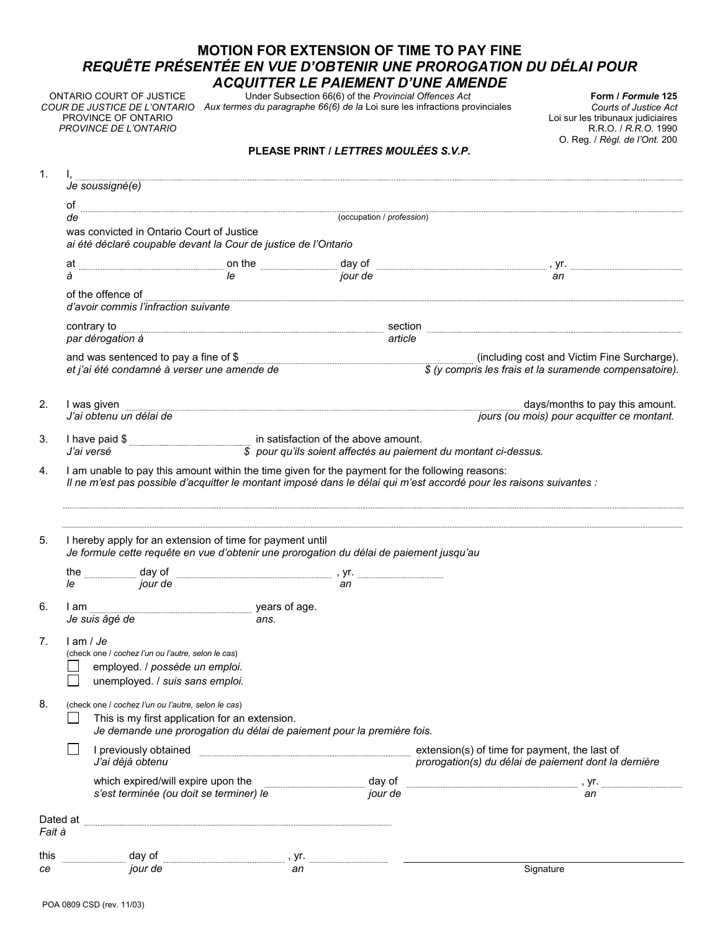## **MOTION FOR EXTENSION OF TIME TO PAY FINE**  *REQUÊTE PRÉSENTÉE EN VUE D'OBTENIR UNE PROROGATION DU DÉLAI POUR ACQUITTER LE PAIEMENT D'UNE AMENDE*

ONTARIO COURT OF JUSTICE PROVINCE OF ONTARIO *PROVINCE DE L'ONTARIO*

Under Subsection 66(6) of the *Provincial Offences Act Aux termes du paragraphe 66(6) de la* Loi sure les infractions provinciales *COUR DE JUSTICE DE L'ONTARIO* 

**Form /** *Formule* **125**  *Courts of Justice Act*  Loi sur les tribunaux judiciaires R.R.O. / *R.R.O.* 1990 O. Reg. / *Règl. de l'Ont.* 200

## **PLEASE PRINT /** *LETTRES MOULÉES S.V.P.*

| 1.          | Je soussigné(e)                                                                                                                                                                                                                      |      |  |                                                                                                                                                                                                                                  |  |  |  |  |  |  |
|-------------|--------------------------------------------------------------------------------------------------------------------------------------------------------------------------------------------------------------------------------------|------|--|----------------------------------------------------------------------------------------------------------------------------------------------------------------------------------------------------------------------------------|--|--|--|--|--|--|
|             | of                                                                                                                                                                                                                                   |      |  |                                                                                                                                                                                                                                  |  |  |  |  |  |  |
|             | de                                                                                                                                                                                                                                   |      |  |                                                                                                                                                                                                                                  |  |  |  |  |  |  |
|             | was convicted in Ontario Court of Justice<br>ai été déclaré coupable devant la Cour de justice de l'Ontario                                                                                                                          |      |  |                                                                                                                                                                                                                                  |  |  |  |  |  |  |
|             | at                                                                                                                                                                                                                                   |      |  |                                                                                                                                                                                                                                  |  |  |  |  |  |  |
|             | à                                                                                                                                                                                                                                    |      |  | on the successive day of the contract and the state of the state of the state of the state of the state of the<br>The state of the state of the state of the state of the state of the state of the state of the state of the st |  |  |  |  |  |  |
|             | of the offence of<br>d'avoir commis l'infraction suivante                                                                                                                                                                            |      |  |                                                                                                                                                                                                                                  |  |  |  |  |  |  |
|             | contrary to<br>par dérogation à                                                                                                                                                                                                      |      |  | section<br>article                                                                                                                                                                                                               |  |  |  |  |  |  |
|             |                                                                                                                                                                                                                                      |      |  | and was sentenced to pay a fine of \$ (including cost and Victim Fine Surcharge).<br>At i'ai été condamné à verser une amende de (including ses frais et la suramende compensatoire).                                            |  |  |  |  |  |  |
| 2.          | I was given<br>J'ai obtenu un délai de                                                                                                                                                                                               |      |  | days/months to pay this amount.<br>jours (ou mois) pour acquitter ce montant.                                                                                                                                                    |  |  |  |  |  |  |
| 3.          | I have paid \$ [162] I have paid \$ [263] in satisfaction of the above amount.<br>J'ai versé                                                                                                                                         |      |  |                                                                                                                                                                                                                                  |  |  |  |  |  |  |
| 4.          | I am unable to pay this amount within the time given for the payment for the following reasons:<br>Il ne m'est pas possible d'acquitter le montant imposé dans le délai qui m'est accordé pour les raisons suivantes :               |      |  |                                                                                                                                                                                                                                  |  |  |  |  |  |  |
| 5.          | I hereby apply for an extension of time for payment until<br>Je formule cette requête en vue d'obtenir une prorogation du délai de paiement jusqu'au                                                                                 |      |  |                                                                                                                                                                                                                                  |  |  |  |  |  |  |
|             |                                                                                                                                                                                                                                      |      |  |                                                                                                                                                                                                                                  |  |  |  |  |  |  |
|             | the <u>with day of the state of the state of the state of the state of the state of the state of the state of the state of the state of the state of the state of the state of the state of the state of the state of the state </u> |      |  |                                                                                                                                                                                                                                  |  |  |  |  |  |  |
| 6.          | I am<br>Je suis âgé de                                                                                                                                                                                                               | ans. |  |                                                                                                                                                                                                                                  |  |  |  |  |  |  |
| $7_{\cdot}$ | $l$ am / $Je$<br>(check one / cochez l'un ou l'autre, selon le cas)<br>employed. / possède un emploi.<br>unemployed. / suis sans emploi.                                                                                             |      |  |                                                                                                                                                                                                                                  |  |  |  |  |  |  |
| 8.          | (check one / cochez l'un ou l'autre, selon le cas)<br>This is my first application for an extension.<br>Je demande une prorogation du délai de paiement pour la première fois.                                                       |      |  |                                                                                                                                                                                                                                  |  |  |  |  |  |  |
|             | I previously obtained<br>J'ai déjà obtenu                                                                                                                                                                                            |      |  | extension(s) of time for payment, the last of<br>prorogation(s) du délai de paiement dont la dernière                                                                                                                            |  |  |  |  |  |  |
|             |                                                                                                                                                                                                                                      |      |  | which expired/will expire upon the day of de day of and significant and the set termine of the set termine of the set termine of the set termine of the set termine of the set termine of the set termine of the set termine o   |  |  |  |  |  |  |
| Fait à      | Dated at                                                                                                                                                                                                                             |      |  |                                                                                                                                                                                                                                  |  |  |  |  |  |  |
| this        |                                                                                                                                                                                                                                      |      |  |                                                                                                                                                                                                                                  |  |  |  |  |  |  |
| ce          |                                                                                                                                                                                                                                      |      |  | Signature                                                                                                                                                                                                                        |  |  |  |  |  |  |
|             |                                                                                                                                                                                                                                      |      |  |                                                                                                                                                                                                                                  |  |  |  |  |  |  |